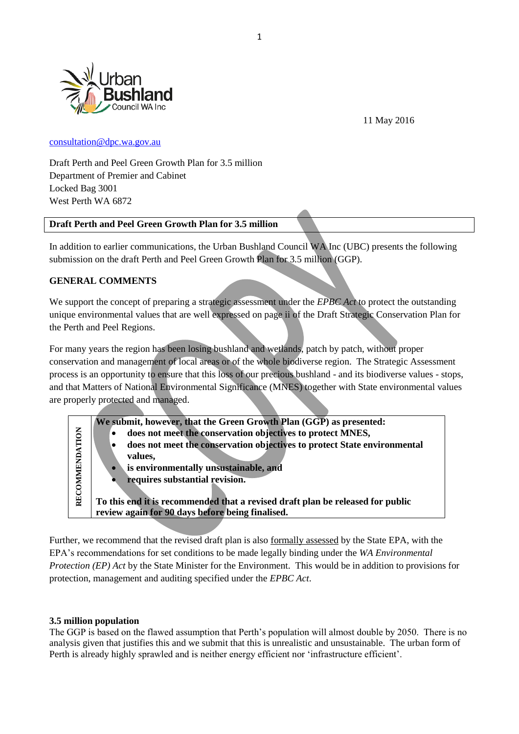

11 May 2016

#### [consultation@dpc.wa.gov.au](mailto:consultation@dpc.wa.gov.au)

Draft Perth and Peel Green Growth Plan for 3.5 million Department of Premier and Cabinet Locked Bag 3001 West Perth WA 6872

## **Draft Perth and Peel Green Growth Plan for 3.5 million**

In addition to earlier communications, the Urban Bushland Council WA Inc (UBC) presents the following submission on the draft Perth and Peel Green Growth Plan for 3.5 million (GGP).

## **GENERAL COMMENTS**

We support the concept of preparing a strategic assessment under the *EPBC Act* to protect the outstanding unique environmental values that are well expressed on page ii of the Draft Strategic Conservation Plan for the Perth and Peel Regions.

For many years the region has been losing bushland and wetlands, patch by patch, without proper conservation and management of local areas or of the whole biodiverse region. The Strategic Assessment process is an opportunity to ensure that this loss of our precious bushland - and its biodiverse values - stops, and that Matters of National Environmental Significance (MNES) together with State environmental values are properly protected and managed.

|                | We submit, however, that the Green Growth Plan (GGP) as presented:             |
|----------------|--------------------------------------------------------------------------------|
|                | does not meet the conservation objectives to protect MNES,                     |
|                | does not meet the conservation objectives to protect State environmental       |
|                | values,                                                                        |
| RECOMMENDATION | is environmentally unsustainable, and                                          |
|                | requires substantial revision.                                                 |
|                |                                                                                |
|                | To this end it is recommended that a revised draft plan be released for public |
|                | review again for 90 days before being finalised.                               |

Further, we recommend that the revised draft plan is also formally assessed by the State EPA, with the EPA's recommendations for set conditions to be made legally binding under the *WA Environmental Protection (EP) Act* by the State Minister for the Environment. This would be in addition to provisions for protection, management and auditing specified under the *EPBC Act*.

## **3.5 million population**

The GGP is based on the flawed assumption that Perth's population will almost double by 2050. There is no analysis given that justifies this and we submit that this is unrealistic and unsustainable. The urban form of Perth is already highly sprawled and is neither energy efficient nor 'infrastructure efficient'.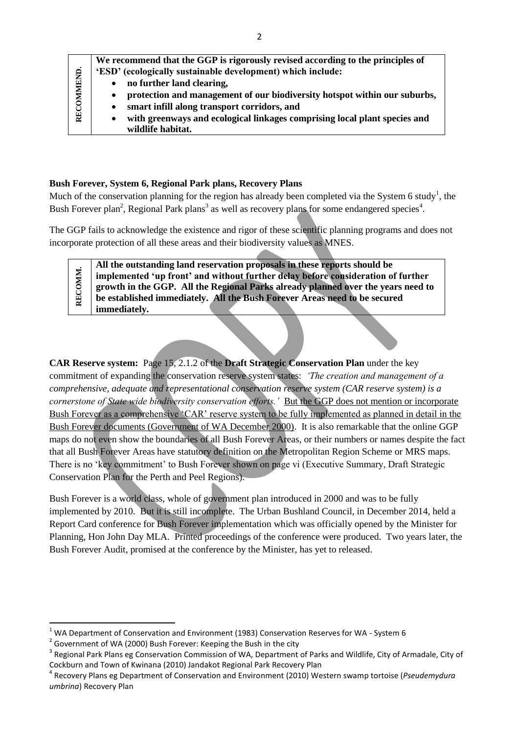| RECOMMEND. | We recommend that the GGP is rigorously revised according to the principles of<br>'ESD' (ecologically sustainable development) which include: |
|------------|-----------------------------------------------------------------------------------------------------------------------------------------------|
|            | no further land clearing,                                                                                                                     |
|            | protection and management of our biodiversity hotspot within our suburbs,                                                                     |
|            | smart infill along transport corridors, and                                                                                                   |
|            | with greenways and ecological linkages comprising local plant species and                                                                     |
|            | wildlife habitat.                                                                                                                             |

## **Bush Forever, System 6, Regional Park plans, Recovery Plans**

Much of the conservation planning for the region has already been completed via the System 6 study<sup>1</sup>, the Bush Forever plan<sup>2</sup>, Regional Park plans<sup>3</sup> as well as recovery plans for some endangered species<sup>4</sup>.

The GGP fails to acknowledge the existence and rigor of these scientific planning programs and does not incorporate protection of all these areas and their biodiversity values as MNES.

**All the outstanding land reservation proposals in these reports should be RECOMM.** RECOMM **implemented 'up front' and without further delay before consideration of further growth in the GGP. All the Regional Parks already planned over the years need to be established immediately. All the Bush Forever Areas need to be secured immediately.**

**CAR Reserve system:** Page 15, 2.1.2 of the **Draft Strategic Conservation Plan** under the key commitment of expanding the conservation reserve system states: *'The creation and management of a comprehensive, adequate and representational conservation reserve system (CAR reserve system) is a cornerstone of State wide biodiversity conservation efforts.'* But the GGP does not mention or incorporate Bush Forever as a comprehensive 'CAR' reserve system to be fully implemented as planned in detail in the Bush Forever documents (Government of WA December 2000). It is also remarkable that the online GGP maps do not even show the boundaries of all Bush Forever Areas, or their numbers or names despite the fact that all Bush Forever Areas have statutory definition on the Metropolitan Region Scheme or MRS maps. There is no 'key commitment' to Bush Forever shown on page vi (Executive Summary, Draft Strategic Conservation Plan for the Perth and Peel Regions).

Bush Forever is a world class, whole of government plan introduced in 2000 and was to be fully implemented by 2010. But it is still incomplete. The Urban Bushland Council, in December 2014, held a Report Card conference for Bush Forever implementation which was officially opened by the Minister for Planning, Hon John Day MLA. Printed proceedings of the conference were produced. Two years later, the Bush Forever Audit, promised at the conference by the Minister, has yet to released.

**.** 

 $1$  WA Department of Conservation and Environment (1983) Conservation Reserves for WA - System 6

 $2$  Government of WA (2000) Bush Forever: Keeping the Bush in the city

<sup>&</sup>lt;sup>3</sup> Regional Park Plans eg Conservation Commission of WA, Department of Parks and Wildlife, City of Armadale, City of Cockburn and Town of Kwinana (2010) Jandakot Regional Park Recovery Plan

<sup>4</sup> Recovery Plans eg Department of Conservation and Environment (2010) Western swamp tortoise (*Pseudemydura umbrina*) Recovery Plan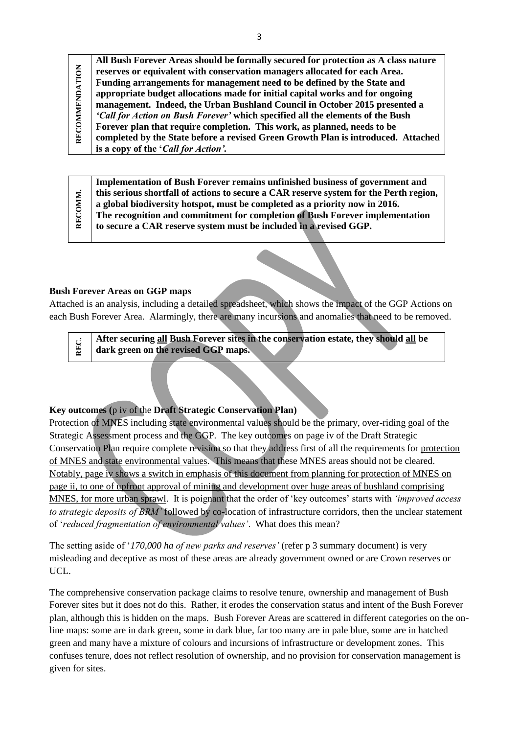| <b>OMMENDATION</b><br>REC | All Bush Forever Areas should be formally secured for protection as A class nature |
|---------------------------|------------------------------------------------------------------------------------|
|                           | reserves or equivalent with conservation managers allocated for each Area.         |
|                           | Funding arrangements for management need to be defined by the State and            |
|                           | appropriate budget allocations made for initial capital works and for ongoing      |
|                           | management. Indeed, the Urban Bushland Council in October 2015 presented a         |
|                           | 'Call for Action on Bush Forever' which specified all the elements of the Bush     |
|                           | Forever plan that require completion. This work, as planned, needs to be           |
|                           | completed by the State before a revised Green Growth Plan is introduced. Attached  |
|                           | is a copy of the 'Call for Action'.                                                |

| ÷<br>ğ<br>ರ<br>Ř | Implementation of Bush Forever remains unfinished business of government and           |
|------------------|----------------------------------------------------------------------------------------|
|                  | this serious shortfall of actions to secure a CAR reserve system for the Perth region, |
|                  | a global biodiversity hotspot, must be completed as a priority now in 2016.            |
|                  | The recognition and commitment for completion of Bush Forever implementation           |
|                  | to secure a CAR reserve system must be included in a revised GGP.                      |
|                  |                                                                                        |

#### **Bush Forever Areas on GGP maps**

Attached is an analysis, including a detailed spreadsheet, which shows the impact of the GGP Actions on each Bush Forever Area. Alarmingly, there are many incursions and anomalies that need to be removed.

**REC. After securing all Bush Forever sites in the conservation estate, they should all be dark green on the revised GGP maps.**

## **Key outcomes (**p iv of the **Draft Strategic Conservation Plan)**

Protection of MNES including state environmental values should be the primary, over-riding goal of the Strategic Assessment process and the GGP. The key outcomes on page iv of the Draft Strategic Conservation Plan require complete revision so that they address first of all the requirements for protection of MNES and state environmental values. This means that these MNES areas should not be cleared. Notably, page iv shows a switch in emphasis of this document from planning for protection of MNES on page ii, to one of upfront approval of mining and development over huge areas of bushland comprising MNES, for more urban sprawl. It is poignant that the order of 'key outcomes' starts with *'improved access to strategic deposits of BRM'* followed by co-location of infrastructure corridors, then the unclear statement of '*reduced fragmentation of environmental values'*. What does this mean?

The setting aside of '*170,000 ha of new parks and reserves'* (refer p 3 summary document) is very misleading and deceptive as most of these areas are already government owned or are Crown reserves or UCL.

The comprehensive conservation package claims to resolve tenure, ownership and management of Bush Forever sites but it does not do this. Rather, it erodes the conservation status and intent of the Bush Forever plan, although this is hidden on the maps. Bush Forever Areas are scattered in different categories on the online maps: some are in dark green, some in dark blue, far too many are in pale blue, some are in hatched green and many have a mixture of colours and incursions of infrastructure or development zones. This confuses tenure, does not reflect resolution of ownership, and no provision for conservation management is given for sites.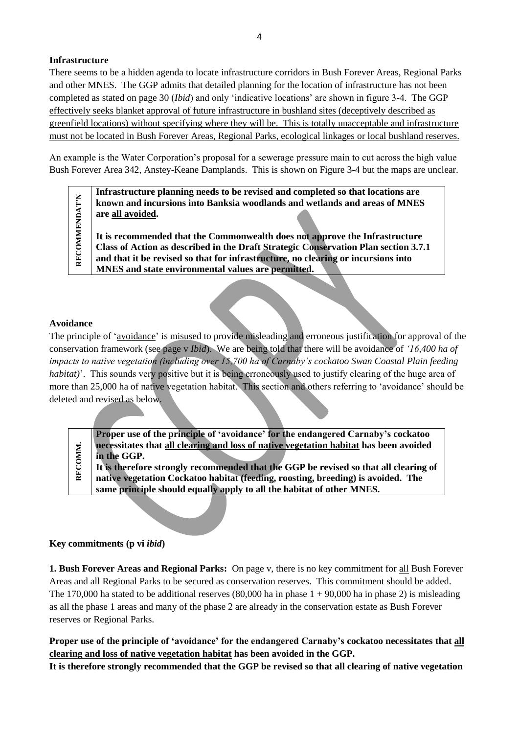## **Infrastructure**

There seems to be a hidden agenda to locate infrastructure corridors in Bush Forever Areas, Regional Parks and other MNES. The GGP admits that detailed planning for the location of infrastructure has not been completed as stated on page 30 (*Ibid*) and only 'indicative locations' are shown in figure 3-4. The GGP effectively seeks blanket approval of future infrastructure in bushland sites (deceptively described as greenfield locations) without specifying where they will be. This is totally unacceptable and infrastructure must not be located in Bush Forever Areas, Regional Parks, ecological linkages or local bushland reserves.

An example is the Water Corporation's proposal for a sewerage pressure main to cut across the high value Bush Forever Area 342, Anstey-Keane Damplands. This is shown on Figure 3-4 but the maps are unclear.

> **Infrastructure planning needs to be revised and completed so that locations are known and incursions into Banksia woodlands and wetlands and areas of MNES are all avoided.**

**It is recommended that the Commonwealth does not approve the Infrastructure Class of Action as described in the Draft Strategic Conservation Plan section 3.7.1 and that it be revised so that for infrastructure, no clearing or incursions into MNES and state environmental values are permitted.**

#### **Avoidance**

**RECOMMENDAT'N**

**RECOMMENDAT'N** 

The principle of 'avoidance' is misused to provide misleading and erroneous justification for approval of the conservation framework (see page v *Ibid*). We are being told that there will be avoidance of *'16,400 ha of impacts to native vegetation (including over 15,700 ha of Carnaby's cockatoo Swan Coastal Plain feeding habitat*)'. This sounds very positive but it is being erroneously used to justify clearing of the huge area of more than 25,000 ha of native vegetation habitat. This section and others referring to 'avoidance' should be deleted and revised as below.

**Proper use of the principle of 'avoidance' for the endangered Carnaby's cockatoo necessitates that all clearing and loss of native vegetation habitat has been avoided in the GGP.** 

RECOMM. **RECOMM. It is therefore strongly recommended that the GGP be revised so that all clearing of native vegetation Cockatoo habitat (feeding, roosting, breeding) is avoided. The same principle should equally apply to all the habitat of other MNES.** 

#### **Key commitments (p vi** *ibid***)**

**1. Bush Forever Areas and Regional Parks:** On page v, there is no key commitment for all Bush Forever Areas and all Regional Parks to be secured as conservation reserves. This commitment should be added. The 170,000 ha stated to be additional reserves  $(80,000$  ha in phase 1 + 90,000 ha in phase 2) is misleading as all the phase 1 areas and many of the phase 2 are already in the conservation estate as Bush Forever reserves or Regional Parks.

**Proper use of the principle of 'avoidance' for the endangered Carnaby's cockatoo necessitates that all clearing and loss of native vegetation habitat has been avoided in the GGP.** 

**It is therefore strongly recommended that the GGP be revised so that all clearing of native vegetation**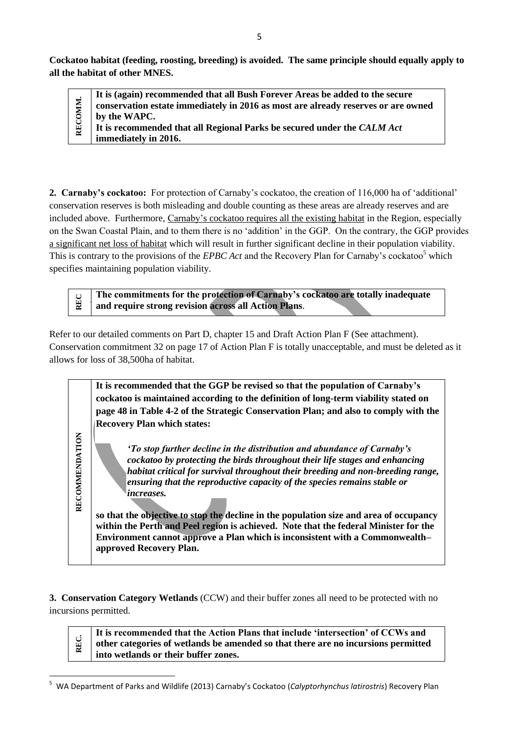**Cockatoo habitat (feeding, roosting, breeding) is avoided. The same principle should equally apply to all the habitat of other MNES.** 

**It is (again) recommended that all Bush Forever Areas be added to the secure**  RECOMM. **RECOMM. conservation estate immediately in 2016 as most are already reserves or are owned by the WAPC. It is recommended that all Regional Parks be secured under the** *CALM Act* **immediately in 2016.**

**2. Carnaby's cockatoo:** For protection of Carnaby's cockatoo, the creation of 116,000 ha of 'additional' conservation reserves is both misleading and double counting as these areas are already reserves and are included above. Furthermore, Carnaby's cockatoo requires all the existing habitat in the Region, especially on the Swan Coastal Plain, and to them there is no 'addition' in the GGP. On the contrary, the GGP provides a significant net loss of habitat which will result in further significant decline in their population viability. This is contrary to the provisions of the *EPBC Act* and the Recovery Plan for Carnaby's cockatoo<sup>5</sup> which specifies maintaining population viability.

 **The commitments for the protection of Carnaby's cockatoo are totally inadequate and require strong revision across all Action Plans**.

Refer to our detailed comments on Part D, chapter 15 and Draft Action Plan F (See attachment). Conservation commitment 32 on page 17 of Action Plan F is totally unacceptable, and must be deleted as it allows for loss of 38,500ha of habitat.

> **It is recommended that the GGP be revised so that the population of Carnaby's cockatoo is maintained according to the definition of long-term viability stated on page 48 in Table 4-2 of the Strategic Conservation Plan; and also to comply with the Recovery Plan which states:**

*'To stop further decline in the distribution and abundance of Carnaby's cockatoo by protecting the birds throughout their life stages and enhancing habitat critical for survival throughout their breeding and non-breeding range, ensuring that the reproductive capacity of the species remains stable or increases.*

**so that the objective to stop the decline in the population size and area of occupancy within the Perth and Peel region is achieved. Note that the federal Minister for the Environment cannot approve a Plan which is inconsistent with a Commonwealth– approved Recovery Plan.** 

**3. Conservation Category Wetlands** (CCW) and their buffer zones all need to be protected with no incursions permitted.

> **It is recommended that the Action Plans that include 'intersection' of CCWs and other categories of wetlands be amended so that there are no incursions permitted into wetlands or their buffer zones.**

RECOMMENDATION **RECOMMENDATION**

**REC.**

 $\overline{a}$ 

**REC**

<sup>5</sup> WA Department of Parks and Wildlife (2013) Carnaby's Cockatoo (*Calyptorhynchus latirostris*) Recovery Plan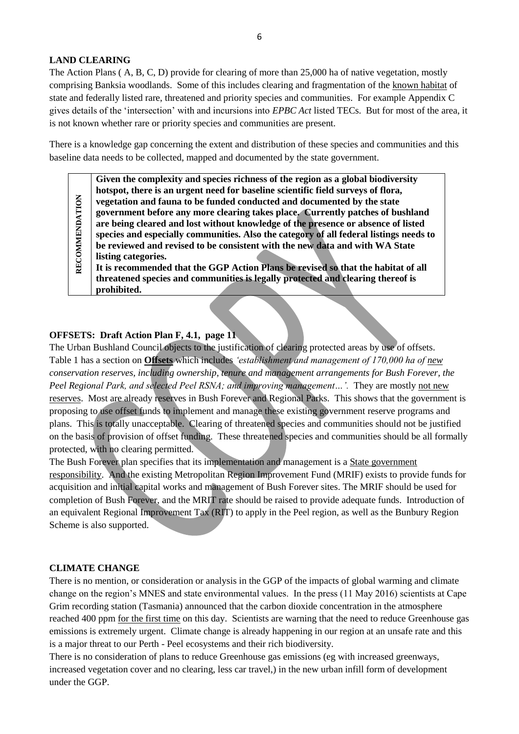#### **LAND CLEARING**

The Action Plans ( A, B, C, D) provide for clearing of more than 25,000 ha of native vegetation, mostly comprising Banksia woodlands. Some of this includes clearing and fragmentation of the known habitat of state and federally listed rare, threatened and priority species and communities. For example Appendix C gives details of the 'intersection' with and incursions into *EPBC Act* listed TECs. But for most of the area, it is not known whether rare or priority species and communities are present.

There is a knowledge gap concerning the extent and distribution of these species and communities and this baseline data needs to be collected, mapped and documented by the state government.

**Given the complexity and species richness of the region as a global biodiversity hotspot, there is an urgent need for baseline scientific field surveys of flora, vegetation and fauna to be funded conducted and documented by the state government before any more clearing takes place. Currently patches of bushland are being cleared and lost without knowledge of the presence or absence of listed species and especially communities. Also the category of all federal listings needs to be reviewed and revised to be consistent with the new data and with WA State listing categories.** 

RECOMMENDATION **RECOMMENDATION It is recommended that the GGP Action Plans be revised so that the habitat of all threatened species and communities is legally protected and clearing thereof is prohibited.**

#### **OFFSETS: Draft Action Plan F, 4.1, page 11**

The Urban Bushland Council objects to the justification of clearing protected areas by use of offsets. Table 1 has a section on **Offsets** which includes *'establishment and management of 170,000 ha of new conservation reserves, including ownership, tenure and management arrangements for Bush Forever, the Peel Regional Park, and selected Peel RSNA; and improving management...'.* They are mostly not new reserves. Most are already reserves in Bush Forever and Regional Parks.This shows that the government is proposing to use offset funds to implement and manage these existing government reserve programs and plans. This is totally unacceptable. Clearing of threatened species and communities should not be justified on the basis of provision of offset funding. These threatened species and communities should be all formally protected, with no clearing permitted.

The Bush Forever plan specifies that its implementation and management is a State government responsibility. And the existing Metropolitan Region Improvement Fund (MRIF) exists to provide funds for acquisition and initial capital works and management of Bush Forever sites. The MRIF should be used for completion of Bush Forever, and the MRIT rate should be raised to provide adequate funds. Introduction of an equivalent Regional Improvement Tax (RIT) to apply in the Peel region, as well as the Bunbury Region Scheme is also supported.

#### **CLIMATE CHANGE**

There is no mention, or consideration or analysis in the GGP of the impacts of global warming and climate change on the region's MNES and state environmental values. In the press (11 May 2016) scientists at Cape Grim recording station (Tasmania) announced that the carbon dioxide concentration in the atmosphere reached 400 ppm for the first time on this day. Scientists are warning that the need to reduce Greenhouse gas emissions is extremely urgent. Climate change is already happening in our region at an unsafe rate and this is a major threat to our Perth - Peel ecosystems and their rich biodiversity.

There is no consideration of plans to reduce Greenhouse gas emissions (eg with increased greenways, increased vegetation cover and no clearing, less car travel,) in the new urban infill form of development under the GGP.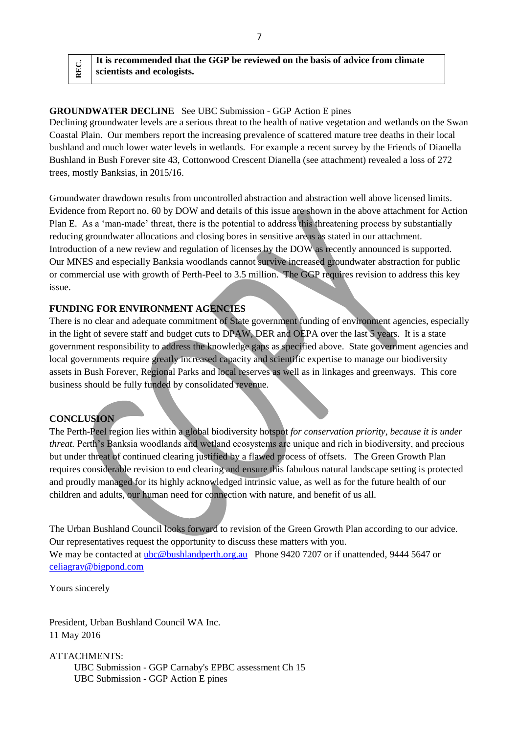# **GROUNDWATER DECLINE** See UBC Submission - GGP Action E pines Declining groundwater levels are a serious threat to the health of native vegetation and wetlands on the Swan

Coastal Plain. Our members report the increasing prevalence of scattered mature tree deaths in their local bushland and much lower water levels in wetlands. For example a recent survey by the Friends of Dianella Bushland in Bush Forever site 43, Cottonwood Crescent Dianella (see attachment) revealed a loss of 272 trees, mostly Banksias, in 2015/16.

Groundwater drawdown results from uncontrolled abstraction and abstraction well above licensed limits. Evidence from Report no. 60 by DOW and details of this issue are shown in the above attachment for Action Plan E. As a 'man-made' threat, there is the potential to address this threatening process by substantially reducing groundwater allocations and closing bores in sensitive areas as stated in our attachment. Introduction of a new review and regulation of licenses by the DOW as recently announced is supported. Our MNES and especially Banksia woodlands cannot survive increased groundwater abstraction for public or commercial use with growth of Perth-Peel to 3.5 million. The GGP requires revision to address this key issue.

## **FUNDING FOR ENVIRONMENT AGENCIES**

There is no clear and adequate commitment of State government funding of environment agencies, especially in the light of severe staff and budget cuts to DPAW, DER and OEPA over the last 5 years. It is a state government responsibility to address the knowledge gaps as specified above. State government agencies and local governments require greatly increased capacity and scientific expertise to manage our biodiversity assets in Bush Forever, Regional Parks and local reserves as well as in linkages and greenways. This core business should be fully funded by consolidated revenue.

## **CONCLUSION**

**REC.**

The Perth-Peel region lies within a global biodiversity hotspot *for conservation priority*, *because it is under threat.* Perth's Banksia woodlands and wetland ecosystems are unique and rich in biodiversity, and precious but under threat of continued clearing justified by a flawed process of offsets. The Green Growth Plan requires considerable revision to end clearing and ensure this fabulous natural landscape setting is protected and proudly managed for its highly acknowledged intrinsic value, as well as for the future health of our children and adults, our human need for connection with nature, and benefit of us all.

The Urban Bushland Council looks forward to revision of the Green Growth Plan according to our advice. Our representatives request the opportunity to discuss these matters with you. We may be contacted at [ubc@bushlandperth.org.au](mailto:ubc@bushlandperth.org.au) Phone 9420 7207 or if unattended, 9444 5647 or [celiagray@bigpond.com](mailto:celiagray@bigpond.com) 

Yours sincerely

President, Urban Bushland Council WA Inc. 11 May 2016

ATTACHMENTS: UBC Submission - GGP Carnaby's EPBC assessment Ch 15 UBC Submission - GGP Action E pines